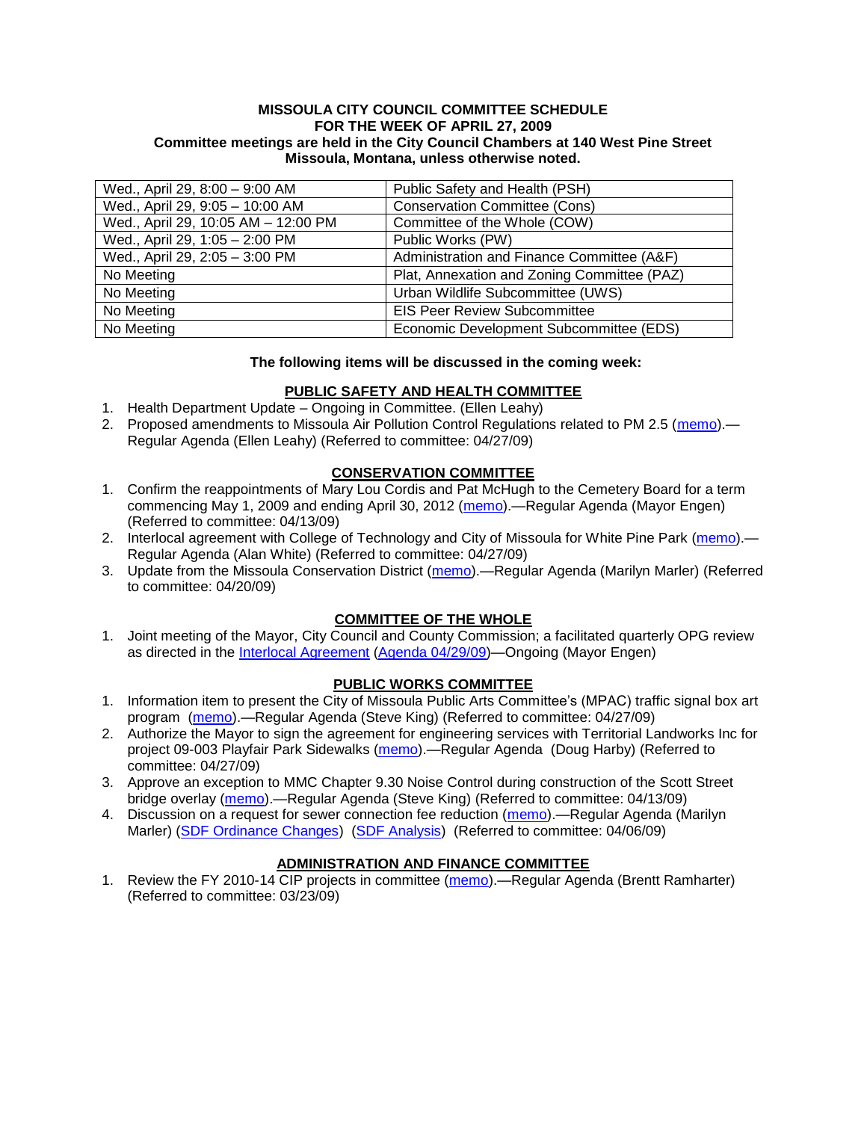#### **MISSOULA CITY COUNCIL COMMITTEE SCHEDULE FOR THE WEEK OF APRIL 27, 2009 Committee meetings are held in the City Council Chambers at 140 West Pine Street Missoula, Montana, unless otherwise noted.**

| Wed., April 29, 8:00 - 9:00 AM      | Public Safety and Health (PSH)              |
|-------------------------------------|---------------------------------------------|
| Wed., April 29, 9:05 - 10:00 AM     | <b>Conservation Committee (Cons)</b>        |
| Wed., April 29, 10:05 AM - 12:00 PM | Committee of the Whole (COW)                |
| Wed., April 29, 1:05 - 2:00 PM      | Public Works (PW)                           |
| Wed., April 29, 2:05 - 3:00 PM      | Administration and Finance Committee (A&F)  |
| No Meeting                          | Plat, Annexation and Zoning Committee (PAZ) |
| No Meeting                          | Urban Wildlife Subcommittee (UWS)           |
| No Meeting                          | <b>EIS Peer Review Subcommittee</b>         |
| No Meeting                          | Economic Development Subcommittee (EDS)     |

### **The following items will be discussed in the coming week:**

# **PUBLIC SAFETY AND HEALTH COMMITTEE**

- 1. Health Department Update Ongoing in Committee. (Ellen Leahy)
- 2. Proposed amendments to Missoula Air Pollution Control Regulations related to PM 2.5 [\(memo\)](ftp://ftp.ci.missoula.mt.us/Packets/Council/2009/2009-04-27/Referrals/MAPCRAmendmentReferral.pdf) Regular Agenda (Ellen Leahy) (Referred to committee: 04/27/09)

## **CONSERVATION COMMITTEE**

- 1. Confirm the reappointments of Mary Lou Cordis and Pat McHugh to the Cemetery Board for a term commencing May 1, 2009 and ending April 30, 2012 [\(memo\)](ftp://ftp.ci.missoula.mt.us/Packets/Council/2009/2009-04-13/Referrals/CemeteryRef.pdf).—Regular Agenda (Mayor Engen) (Referred to committee: 04/13/09)
- 2. Interlocal agreement with College of Technology and City of Missoula for White Pine Park [\(memo\)](ftp://ftp.ci.missoula.mt.us/Packets/Council/2009/2009-04-27/Referrals/ReferralWhitePinePark/(COT/).pdf).— Regular Agenda (Alan White) (Referred to committee: 04/27/09)
- 3. Update from the Missoula Conservation District [\(memo\)](ftp://ftp.ci.missoula.mt.us/Packets/Council/2009/2009-04-20/Referrals/conservation_district_referral.pdf).—Regular Agenda (Marilyn Marler) (Referred to committee: 04/20/09)

## **COMMITTEE OF THE WHOLE**

1. Joint meeting of the Mayor, City Council and County Commission; a facilitated quarterly OPG review as directed in the *Interlocal Agreement [\(Agenda 04/29/09\)](ftp://ftp.ci.missoula.mt.us/Packets/Council/2009/2009-04-27/090429cowjointagenda.pdf)*—Ongoing (Mayor Engen)

## **PUBLIC WORKS COMMITTEE**

- 1. Information item to present the City of Missoula Public Arts Committee's (MPAC) traffic signal box art program [\(memo\)](ftp://ftp.ci.missoula.mt.us/packets/council/2009/2009-04-27/Referrals/TrafficSignalBoxArtREF.pdf).—Regular Agenda (Steve King) (Referred to committee: 04/27/09)
- 2. Authorize the Mayor to sign the agreement for engineering services with Territorial Landworks Inc for project 09-003 Playfair Park Sidewalks [\(memo\)](ftp://ftp.ci.missoula.mt.us/packets/council/2009/2009-04-27/Referrals/CTEPSidewalkREF.pdf).—Regular Agenda (Doug Harby) (Referred to committee: 04/27/09)
- 3. Approve an exception to MMC Chapter 9.30 Noise Control during construction of the Scott Street bridge overlay [\(memo\)](ftp://ftp.ci.missoula.mt.us/packets/council/2009/2009-04-13/Referrals/NoiseCntrlScottStREF.pdf).—Regular Agenda (Steve King) (Referred to committee: 04/13/09)
- 4. Discussion on a request for sewer connection fee reduction [\(memo\)](ftp://ftp.ci.missoula.mt.us/Packets/Council/2009/2009-04-06/Referrals/Hickey_sewer_fee_request.pdf).—Regular Agenda (Marilyn Marler) [\(SDF Ordinance Changes\)](ftp://ftp.ci.missoula.mt.us/packets/council/2009/2009-04-06/Referrals/SDFOrdinanceChanges.pdf) [\(SDF Analysis\)](ftp://ftp.ci.missoula.mt.us/packets/council/2009/2009-04-06/Referrals/SDFAnalysis.pdf) (Referred to committee: 04/06/09)

# **ADMINISTRATION AND FINANCE COMMITTEE**

1. Review the FY 2010-14 CIP projects in committee [\(memo\)](ftp://ftp.ci.missoula.mt.us/Packets/Council/2009/2009-03-23/Referrals/RefAFCIPBudgetReviewFY2010-2014CIP.pdf).—Regular Agenda (Brentt Ramharter) (Referred to committee: 03/23/09)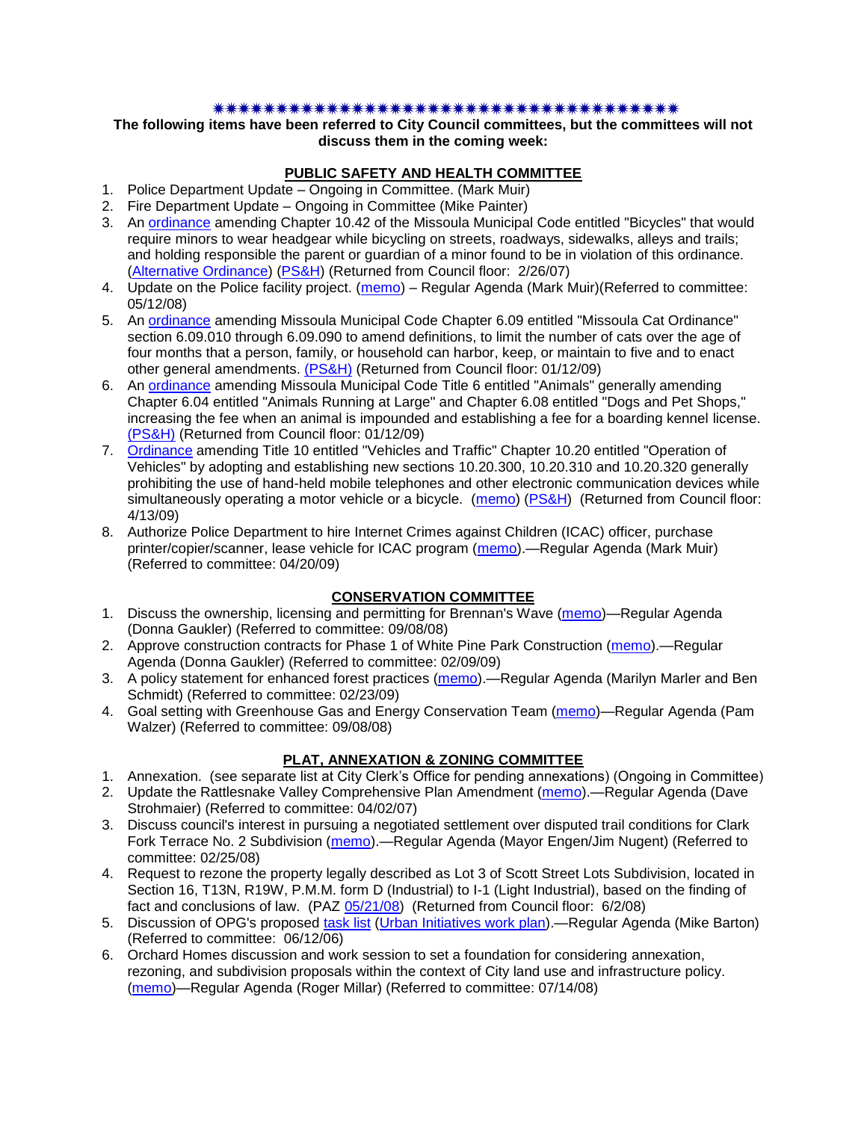### 

### **The following items have been referred to City Council committees, but the committees will not discuss them in the coming week:**

### **PUBLIC SAFETY AND HEALTH COMMITTEE**

- 1. Police Department Update Ongoing in Committee. (Mark Muir)
- 2. Fire Department Update Ongoing in Committee (Mike Painter)
- 3. An [ordinance](ftp://ftp.ci.missoula.mt.us/Packets/Council/2007/2007-02-05/07-01-31 Helmet and bikes psh.htm) amending Chapter 10.42 of the Missoula Municipal Code entitled "Bicycles" that would require minors to wear headgear while bicycling on streets, roadways, sidewalks, alleys and trails; and holding responsible the parent or guardian of a minor found to be in violation of this ordinance. [\(Alternative Ordinance\)](ftp://ftp.ci.missoula.mt.us/Packets/Council/2007/2007-02-26/07-02-19_Alternative_Helmet_and_bikes.htm) [\(PS&H\)](ftp://ftp.ci.missoula.mt.us/Packets/Council/2007/2007-02-05/070131psh.pdf) (Returned from Council floor: 2/26/07)
- 4. Update on the Police facility project. [\(memo\)](ftp://ftp.ci.missoula.mt.us/Packets/Council/2008/2008-05-12/Referrals/Buildingpresentationreferral.htm) Regular Agenda (Mark Muir)(Referred to committee: 05/12/08)
- 5. An [ordinance](ftp://ftp.ci.missoula.mt.us/Packets/Council/2008/2008-12-15/2008CatOrdinanceAmendment%5B1%5D.pdf) amending Missoula Municipal Code Chapter 6.09 entitled "Missoula Cat Ordinance" section 6.09.010 through 6.09.090 to amend definitions, to limit the number of cats over the age of four months that a person, family, or household can harbor, keep, or maintain to five and to enact other general amendments. [\(PS&H\)](ftp://ftp.ci.missoula.mt.us/Packets/Council/2008/2008-12-15/081210psh.pdf) (Returned from Council floor: 01/12/09)
- 6. An [ordinance](ftp://ftp.ci.missoula.mt.us/Packets/Council/2008/2008-12-15/DogOrdinance--PSHrevisions.pdf) amending Missoula Municipal Code Title 6 entitled "Animals" generally amending Chapter 6.04 entitled "Animals Running at Large" and Chapter 6.08 entitled "Dogs and Pet Shops," increasing the fee when an animal is impounded and establishing a fee for a boarding kennel license. [\(PS&H\)](ftp://ftp.ci.missoula.mt.us/Packets/Council/2008/2008-12-15/081210psh.pdf) (Returned from Council floor: 01/12/09)
- 7. [Ordinance](ftp://ftp.ci.missoula.mt.us/Packets/Council/2009/2009-04-13/Public Hearings/090410CellPhone3rdDraft.pdf) amending Title 10 entitled "Vehicles and Traffic" Chapter 10.20 entitled "Operation of Vehicles" by adopting and establishing new sections 10.20.300, 10.20.310 and 10.20.320 generally prohibiting the use of hand-held mobile telephones and other electronic communication devices while simultaneously operating a motor vehicle or a bicycle. [\(memo\)](ftp://ftp.ci.missoula.mt.us/Packets/Council/2009/2009-03-09/Referrals/CellPhonesReferral.pdf) [\(PS&H\)](ftp://ftp.ci.missoula.mt.us/Packets/Council/2009/2009-03-23/090318psh.pdf) (Returned from Council floor: 4/13/09)
- 8. Authorize Police Department to hire Internet Crimes against Children (ICAC) officer, purchase printer/copier/scanner, lease vehicle for ICAC program [\(memo\)](ftp://ftp.ci.missoula.mt.us/Packets/Council/2009/2009-04-20/Referrals/ICACHiringEquipment.pdf).—Regular Agenda (Mark Muir) (Referred to committee: 04/20/09)

## **CONSERVATION COMMITTEE**

- 1. Discuss the ownership, licensing and permitting for Brennan's Wave [\(memo\)](ftp://ftp.ci.missoula.mt.us/Packets/Council/2008/2008-09-08/Referrals/ReferralBrennansWaveLicensing.pdf)—Regular Agenda (Donna Gaukler) (Referred to committee: 09/08/08)
- 2. Approve construction contracts for Phase 1 of White Pine Park Construction [\(memo\)](ftp://ftp.ci.missoula.mt.us/Packets/Council/2009/2009-02-09/Referrals/ReferralWhitePinePark/(2/).pdf).—Regular Agenda (Donna Gaukler) (Referred to committee: 02/09/09)
- 3. A policy statement for enhanced forest practices [\(memo\)](ftp://ftp.ci.missoula.mt.us/Packets/Council/2009/2009-02-23/Referrals/Forest_Practices_Referral.pdf).—Regular Agenda (Marilyn Marler and Ben Schmidt) (Referred to committee: 02/23/09)
- 4. Goal setting with Greenhouse Gas and Energy Conservation Team [\(memo\)](ftp://ftp.ci.missoula.mt.us/Packets/Council/2008/2008-09-08/Referrals/GGECTdialog.pdf)—Regular Agenda (Pam Walzer) (Referred to committee: 09/08/08)

## **PLAT, ANNEXATION & ZONING COMMITTEE**

- 1. Annexation. (see separate list at City Clerk's Office for pending annexations) (Ongoing in Committee)
- 2. Update the Rattlesnake Valley Comprehensive Plan Amendment [\(memo\)](ftp://ftp.ci.missoula.mt.us/Packets/Council/2007/2007-04-02/Referrals/Rattlesnake_Plan_Update_referral.pdf).—Regular Agenda (Dave Strohmaier) (Referred to committee: 04/02/07)
- 3. Discuss council's interest in pursuing a negotiated settlement over disputed trail conditions for Clark Fork Terrace No. 2 Subdivision [\(memo\)](ftp://ftp.ci.missoula.mt.us/Packets/Council/2008/2008-02-25/Referrals/Clark_Fork_Terrace_2.pdf).—Regular Agenda (Mayor Engen/Jim Nugent) (Referred to committee: 02/25/08)
- 4. Request to rezone the property legally described as Lot 3 of Scott Street Lots Subdivision, located in Section 16, T13N, R19W, P.M.M. form D (Industrial) to I-1 (Light Industrial), based on the finding of fact and conclusions of law. (PAZ [05/21/08\)](ftp://ftp.ci.missoula.mt.us/Packets/Council/2008/2008-06-02/080521paz.pdf) (Returned from Council floor: 6/2/08)
- 5. Discussion of OPG's proposed [task list](ftp://ftp.ci.missoula.mt.us/Packets/Council/2008/2008-07-07/UITaskList.pdf) [\(Urban Initiatives work plan\)](ftp://ftp.ci.missoula.mt.us/Packets/Council/2006/2006-06-12/Referrals/Urban_Init.htm) Regular Agenda (Mike Barton) (Referred to committee: 06/12/06)
- 6. Orchard Homes discussion and work session to set a foundation for considering annexation, rezoning, and subdivision proposals within the context of City land use and infrastructure policy. [\(memo\)](ftp://ftp.ci.missoula.mt.us/Packets/Council/2008/2008-07-14/Referrals/OrchardHomesDiscMemo.pdf)—Regular Agenda (Roger Millar) (Referred to committee: 07/14/08)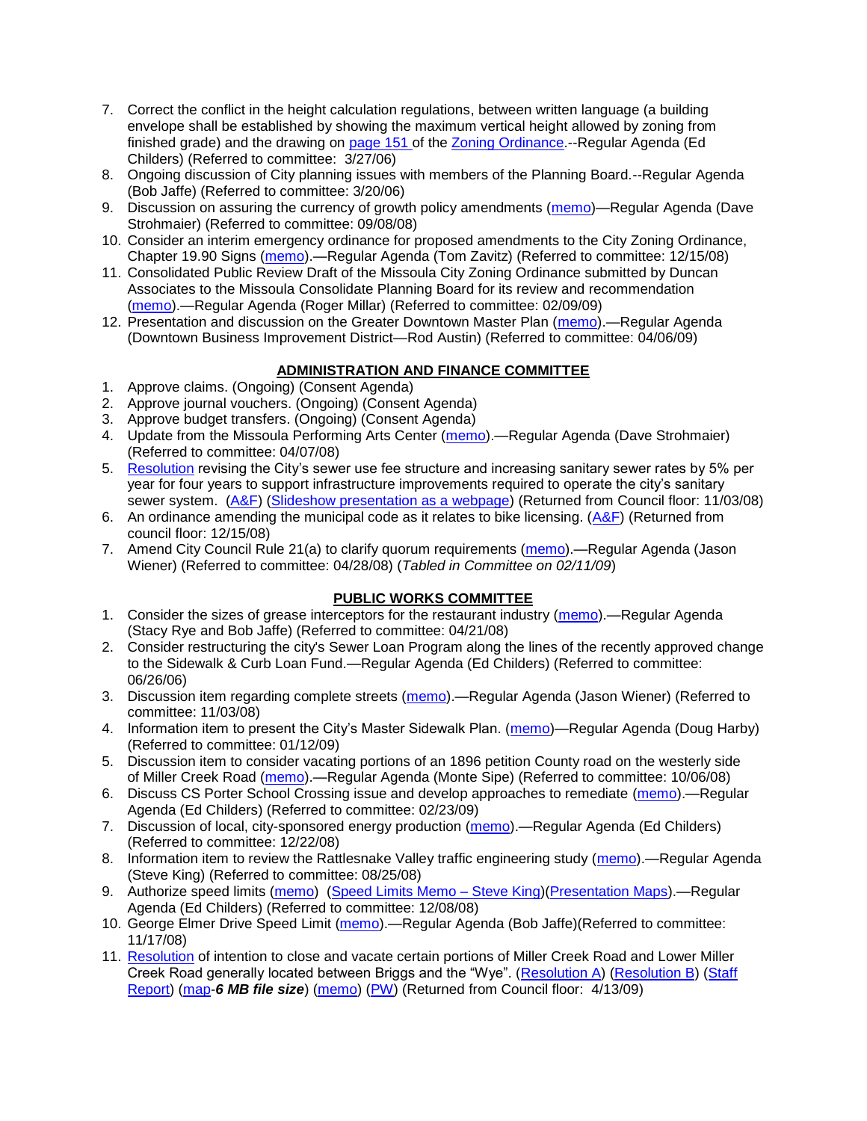- 7. Correct the conflict in the height calculation regulations, between written language (a building envelope shall be established by showing the maximum vertical height allowed by zoning from finished grade) and the drawing on [page 151 o](ftp://www.co.missoula.mt.us/opg2/Documents/CurrentRegulations/CityZoningTitle19/CH19.67Hillside.pdf)f the [Zoning Ordinance.](ftp://www.co.missoula.mt.us/opg2/Documents/CurrentRegulations/CityZoningTitle19/CityOrdinanceLP.htm)--Regular Agenda (Ed Childers) (Referred to committee: 3/27/06)
- 8. Ongoing discussion of City planning issues with members of the Planning Board.--Regular Agenda (Bob Jaffe) (Referred to committee: 3/20/06)
- 9. Discussion on assuring the currency of growth policy amendments [\(memo\)](ftp://ftp.ci.missoula.mt.us/Packets/Council/2008/2008-09-08/Referrals/Plan_updates.pdf)—Regular Agenda (Dave Strohmaier) (Referred to committee: 09/08/08)
- 10. Consider an interim emergency ordinance for proposed amendments to the City Zoning Ordinance, Chapter 19.90 Signs [\(memo\)](ftp://ftp.ci.missoula.mt.us/Packets/Council/2008/2008-12-15/Referrals/ElectronicSignOrdinanceMemo.pdf).—Regular Agenda (Tom Zavitz) (Referred to committee: 12/15/08)
- 11. Consolidated Public Review Draft of the Missoula City Zoning Ordinance submitted by Duncan Associates to the Missoula Consolidate Planning Board for its review and recommendation [\(memo\)](ftp://ftp.ci.missoula.mt.us/Packets/Council/2009/2009-02-09/Referrals/CodeRewritetoPBMemo.pdf).—Regular Agenda (Roger Millar) (Referred to committee: 02/09/09)
- 12. Presentation and discussion on the Greater Downtown Master Plan [\(memo\)](ftp://ftp.ci.missoula.mt.us/Packets/Council/2009/2009-04-06/Referrals/GreaterMasterPlan.pdf).—Regular Agenda (Downtown Business Improvement District—Rod Austin) (Referred to committee: 04/06/09)

## **ADMINISTRATION AND FINANCE COMMITTEE**

- 1. Approve claims. (Ongoing) (Consent Agenda)
- 2. Approve journal vouchers. (Ongoing) (Consent Agenda)
- 3. Approve budget transfers. (Ongoing) (Consent Agenda)
- 4. Update from the Missoula Performing Arts Center [\(memo\)](ftp://ftp.ci.missoula.mt.us/Packets/Council/2008/2008-04-07/Referrals/Performing_Arts_Center.pdf).—Regular Agenda (Dave Strohmaier) (Referred to committee: 04/07/08)
- 5. [Resolution](ftp://ftp.ci.missoula.mt.us/Packets/Council/2008/2008-09-22/referrals/Sewerrateresolution.pdf) revising the City's sewer use fee structure and increasing sanitary sewer rates by 5% per year for four years to support infrastructure improvements required to operate the city's sanitary sewer system. [\(A&F\)](ftp://ftp.ci.missoula.mt.us/Packets/Council/2008/2008-10-06/081001af.pdf) [\(Slideshow presentation as a webpage\)](ftp://ftp.ci.missoula.mt.us/Packets/Council/2008/2008-11-03/2008-11-03SewerUserRateIncrease_files/frame.htm) (Returned from Council floor: 11/03/08)
- 6. An ordinance amending the municipal code as it relates to bike licensing. [\(A&F\)](ftp://ftp.ci.missoula.mt.us/Packets/Council/2008/2008-12-15/081210af.pdf) (Returned from council floor: 12/15/08)
- 7. Amend City Council Rule 21(a) to clarify quorum requirements [\(memo\)](ftp://ftp.ci.missoula.mt.us/Packets/Council/2008/2008-04-28/Referrals/CouncilRule21aReferral.pdf).—Regular Agenda (Jason Wiener) (Referred to committee: 04/28/08) (*Tabled in Committee on 02/11/09*)

## **PUBLIC WORKS COMMITTEE**

- 1. Consider the sizes of grease interceptors for the restaurant industry [\(memo\)](ftp://ftp.ci.missoula.mt.us/Packets/Council/2008/2008-04-21/Referrals/Industrial_waste_restaurants.pdf).—Regular Agenda (Stacy Rye and Bob Jaffe) (Referred to committee: 04/21/08)
- 2. Consider restructuring the city's Sewer Loan Program along the lines of the recently approved change to the Sidewalk & Curb Loan Fund.—Regular Agenda (Ed Childers) (Referred to committee: 06/26/06)
- 3. Discussion item regarding complete streets [\(memo\)](ftp://ftp.ci.missoula.mt.us/Packets/Council/2008/2008-11-03/Referrals/completestreetsreferral.pdf).—Regular Agenda (Jason Wiener) (Referred to committee: 11/03/08)
- 4. Information item to present the City's Master Sidewalk Plan. [\(memo\)](ftp://ftp.ci.missoula.mt.us/packets/council/2009/2009-01-12/Referrals/MstrSdwlkPlnREF.pdf)—Regular Agenda (Doug Harby) (Referred to committee: 01/12/09)
- 5. Discussion item to consider vacating portions of an 1896 petition County road on the westerly side of Miller Creek Road [\(memo\)](ftp://ftp.ci.missoula.mt.us/packets/council/2008/2008-10-06/Referrals/MllrCkROWVacREF.pdf).—Regular Agenda (Monte Sipe) (Referred to committee: 10/06/08)
- 6. Discuss CS Porter School Crossing issue and develop approaches to remediate [\(memo\)](ftp://ftp.ci.missoula.mt.us/Packets/Council/2009/2009-02-23/Referrals/ReferralCSPorter.pdf).—Regular Agenda (Ed Childers) (Referred to committee: 02/23/09)
- 7. Discussion of local, city-sponsored energy production [\(memo\)](ftp://ftp.ci.missoula.mt.us/Packets/Council/2008/2008-12-22/Referrals/LocaLPowerReferral.pdf).—Regular Agenda (Ed Childers) (Referred to committee: 12/22/08)
- 8. Information item to review the Rattlesnake Valley traffic engineering study [\(memo\)](ftp://ftp.ci.missoula.mt.us/packets/council/2008/2008-08-25/Referrals/RsnakeTrfficStudyREF.pdf).—Regular Agenda (Steve King) (Referred to committee: 08/25/08)
- 9. Authorize speed limits [\(memo\)](ftp://ftp.ci.missoula.mt.us/Packets/Council/2008/2008-12-08/Referrals/ReferralAuthorizeSpeedLimits.pdf) [\(Speed Limits Memo –](ftp://ftp.ci.missoula.mt.us/packets/council/2008/2008-12-15/Referrals/SpeedLimitMemo.pdf) Steve King)[\(Presentation Maps\)](ftp://ftp.ci.missoula.mt.us/packets/council/2009/2009-01-05/Referrals/SpeedPresentation.pdf).—Regular Agenda (Ed Childers) (Referred to committee: 12/08/08)
- 10. George Elmer Drive Speed Limit [\(memo\)](ftp://ftp.ci.missoula.mt.us/Packets/Council/2008/2008-11-17/Referrals/GeorgeElmerSpeedLimit.pdf).—Regular Agenda (Bob Jaffe)(Referred to committee: 11/17/08)
- 11. [Resolution](ftp://ftp.ci.missoula.mt.us/packets/council/2009/2009-03-16/Referrals/MllrCkROWVacRES.pdf) of intention to close and vacate certain portions of Miller Creek Road and Lower Miller Creek Road generally located between Briggs and the "Wye". [\(Resolution A\)](ftp://ftp.ci.missoula.mt.us/Packets/Council/2009/2009-04-13/Public Hearings/RESOLUTIONA-MillerCreekRoadPetitioners.pdf) [\(Resolution B\)](ftp://ftp.ci.missoula.mt.us/Packets/Council/2009/2009-04-13/Public Hearings/RESOLUTIONB-MillerCreekRoadStaff.pdf) (Staff [Report\)](ftp://ftp.ci.missoula.mt.us/Packets/Council/2009/2009-04-13/Public Hearings/MillerCreekVacationStaffReport.pdf) [\(map-](ftp://ftp.ci.missoula.mt.us/Packets/Council/2009/2009-04-13/Public Hearings/AerialMapExhibit.pdf)*6 MB file size*) [\(memo\)](ftp://ftp.ci.missoula.mt.us/Packets/Council/2009/2009-03-16/Referrals/WGMAmend2MllrCkREF.pdf) [\(PW\)](ftp://ftp.ci.missoula.mt.us/Packets/Council/2009/2009-03-23/090318pw.pdf) (Returned from Council floor: 4/13/09)